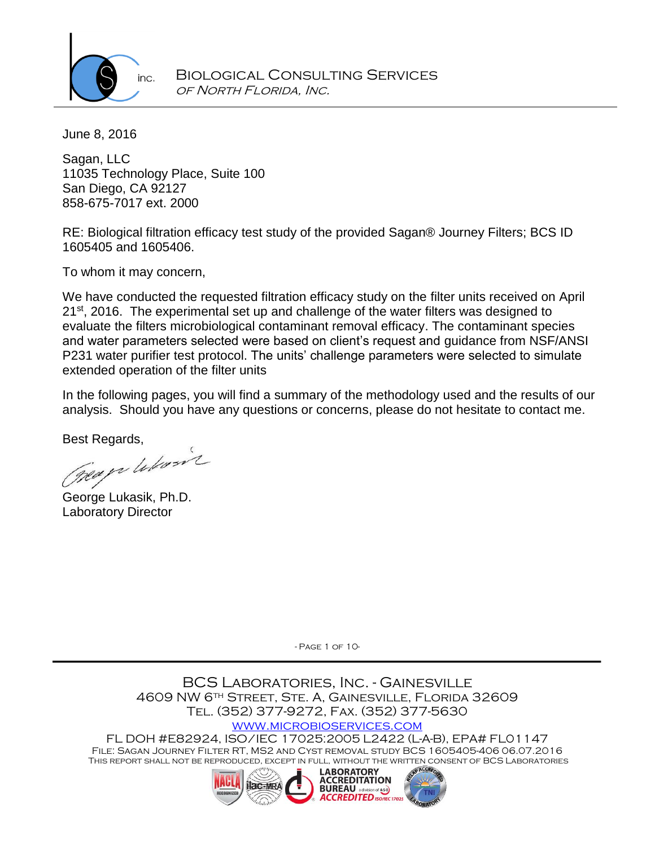

June 8, 2016

Sagan, LLC 11035 Technology Place, Suite 100 San Diego, CA 92127 858-675-7017 ext. 2000

RE: Biological filtration efficacy test study of the provided Sagan® Journey Filters; BCS ID 1605405 and 1605406.

To whom it may concern,

We have conducted the requested filtration efficacy study on the filter units received on April 21<sup>st</sup>, 2016. The experimental set up and challenge of the water filters was designed to evaluate the filters microbiological contaminant removal efficacy. The contaminant species and water parameters selected were based on client's request and guidance from NSF/ANSI P231 water purifier test protocol. The units' challenge parameters were selected to simulate extended operation of the filter units

In the following pages, you will find a summary of the methodology used and the results of our analysis. Should you have any questions or concerns, please do not hesitate to contact me.

Best Regards,

George Lukasik, Ph.D. Laboratory Director

- Page 1 of 10-

BCS Laboratories, Inc. - Gainesville 4609 NW 6th Street, Ste. A, Gainesville, Florida 32609 Tel. (352) 377-9272, Fax. (352) 377-5630

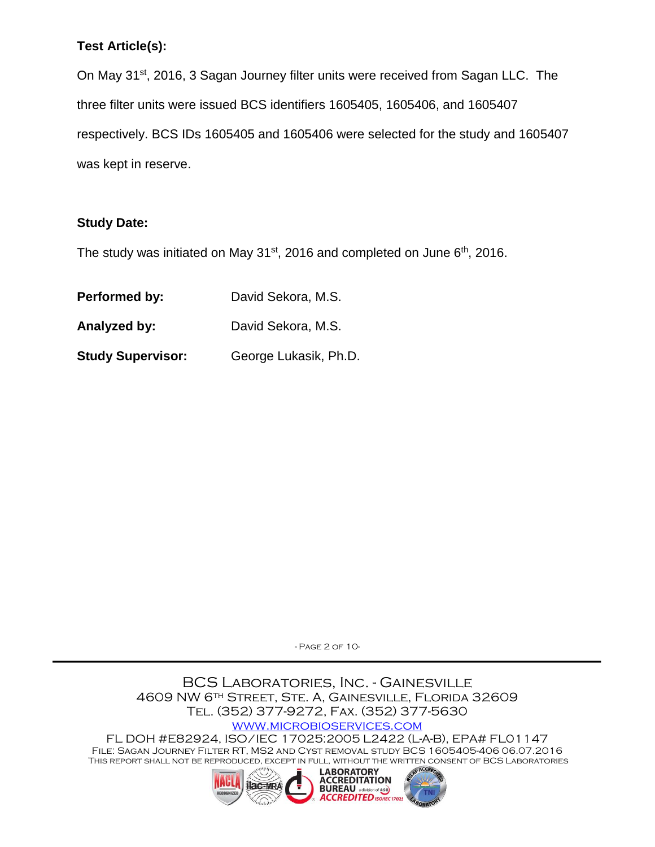# **Test Article(s):**

On May 31<sup>st</sup>, 2016, 3 Sagan Journey filter units were received from Sagan LLC. The three filter units were issued BCS identifiers 1605405, 1605406, and 1605407 respectively. BCS IDs 1605405 and 1605406 were selected for the study and 1605407 was kept in reserve.

# **Study Date:**

The study was initiated on May  $31<sup>st</sup>$ , 2016 and completed on June  $6<sup>th</sup>$ , 2016.

| Performed by:            | David Sekora, M.S.    |
|--------------------------|-----------------------|
| Analyzed by:             | David Sekora, M.S.    |
| <b>Study Supervisor:</b> | George Lukasik, Ph.D. |

- Page 2 of 10-

BCS Laboratories, Inc. - Gainesville 4609 NW 6th Street, Ste. A, Gainesville, Florida 32609 Tel. (352) 377-9272, Fax. (352) 377-5630

[www.microbioservices.com](http://www.microbioservices.com/)

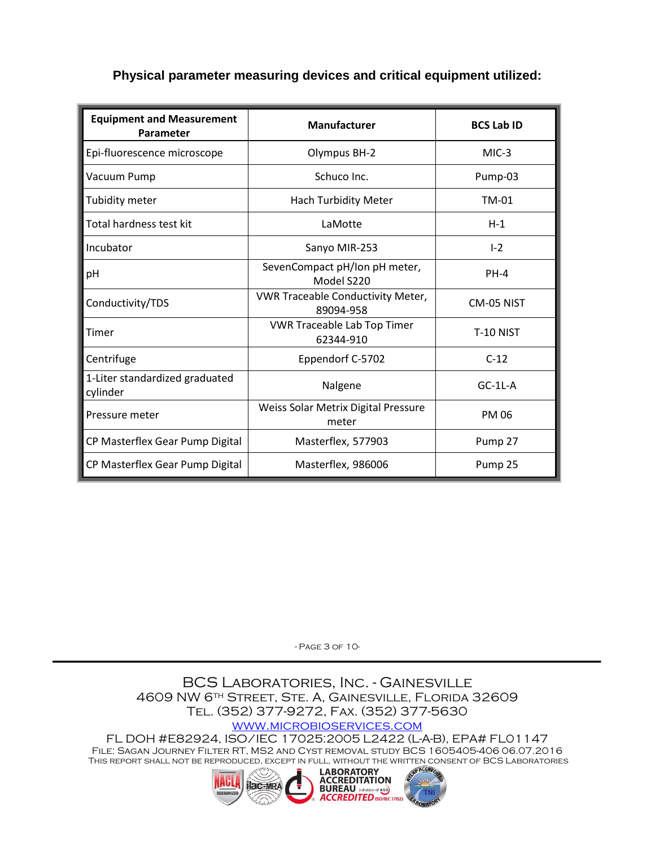## **Physical parameter measuring devices and critical equipment utilized:**

| <b>Equipment and Measurement</b><br>Parameter | <b>Manufacturer</b>                                   | <b>BCS Lab ID</b> |  |
|-----------------------------------------------|-------------------------------------------------------|-------------------|--|
| Epi-fluorescence microscope                   | Olympus BH-2                                          | $MIC-3$           |  |
| Vacuum Pump                                   | Schuco Inc.                                           | Pump-03           |  |
| Tubidity meter                                | <b>Hach Turbidity Meter</b>                           | <b>TM-01</b>      |  |
| Total hardness test kit                       | LaMotte                                               | $H-1$             |  |
| Incubator                                     | Sanyo MIR-253                                         | $I - 2$           |  |
| pH                                            | SevenCompact pH/Ion pH meter,<br>Model S220           | $PH-4$            |  |
| Conductivity/TDS                              | <b>VWR Traceable Conductivity Meter,</b><br>89094-958 | CM-05 NIST        |  |
| Timer                                         | <b>VWR Traceable Lab Top Timer</b><br>62344-910       | <b>T-10 NIST</b>  |  |
| Centrifuge                                    | Eppendorf C-5702                                      | $C-12$            |  |
| 1-Liter standardized graduated<br>cylinder    | Nalgene                                               | $GC-1L-A$         |  |
| Pressure meter                                | Weiss Solar Metrix Digital Pressure<br>meter          | <b>PM 06</b>      |  |
| CP Masterflex Gear Pump Digital               | Masterflex, 577903                                    | Pump 27           |  |
| CP Masterflex Gear Pump Digital               | Masterflex, 986006                                    | Pump 25           |  |

- Page 3 of 10-

BCS Laboratories, Inc. - Gainesville 4609 NW 6th Street, Ste. A, Gainesville, Florida 32609 Tel. (352) 377-9272, Fax. (352) 377-5630

[www.microbioservices.com](http://www.microbioservices.com/)

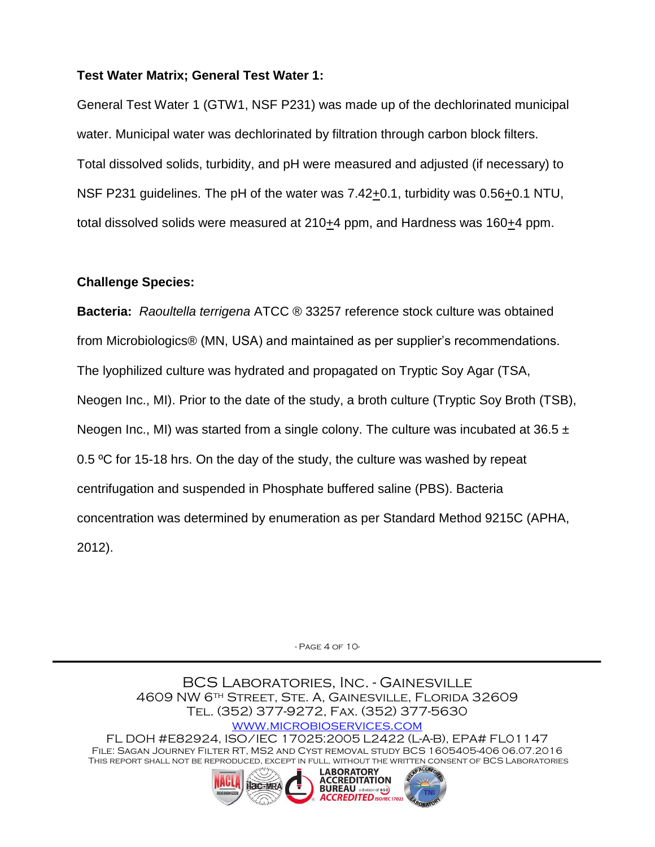### **Test Water Matrix; General Test Water 1:**

General Test Water 1 (GTW1, NSF P231) was made up of the dechlorinated municipal water. Municipal water was dechlorinated by filtration through carbon block filters. Total dissolved solids, turbidity, and pH were measured and adjusted (if necessary) to NSF P231 guidelines. The pH of the water was 7.42+0.1, turbidity was 0.56+0.1 NTU, total dissolved solids were measured at  $210+4$  ppm, and Hardness was  $160+4$  ppm.

### **Challenge Species:**

**Bacteria:** *Raoultella terrigena* ATCC ® 33257 reference stock culture was obtained from Microbiologics® (MN, USA) and maintained as per supplier's recommendations. The lyophilized culture was hydrated and propagated on Tryptic Soy Agar (TSA, Neogen Inc., MI). Prior to the date of the study, a broth culture (Tryptic Soy Broth (TSB), Neogen Inc., MI) was started from a single colony. The culture was incubated at 36.5  $\pm$ 0.5 °C for 15-18 hrs. On the day of the study, the culture was washed by repeat centrifugation and suspended in Phosphate buffered saline (PBS). Bacteria concentration was determined by enumeration as per Standard Method 9215C (APHA, 2012).

- Page 4 of 10-

BCS Laboratories, Inc. - Gainesville 4609 NW 6th Street, Ste. A, Gainesville, Florida 32609 Tel. (352) 377-9272, Fax. (352) 377-5630 [www.microbioservices.com](http://www.microbioservices.com/) FL DOH #E82924, ISO/IEC 17025:2005 L2422 (L-A-B), EPA# FL01147 File: Sagan Journey Filter RT, MS2 and Cyst removal study BCS 1605405-406 06.07.2016 This report shall not be reproduced, except in full, without the written consent of BCS Laboratories **LABORATORY ACCREDITATION ilac-MRA BUREAU** a division of AS B

**ACCREDITED** ISO/IEC 17025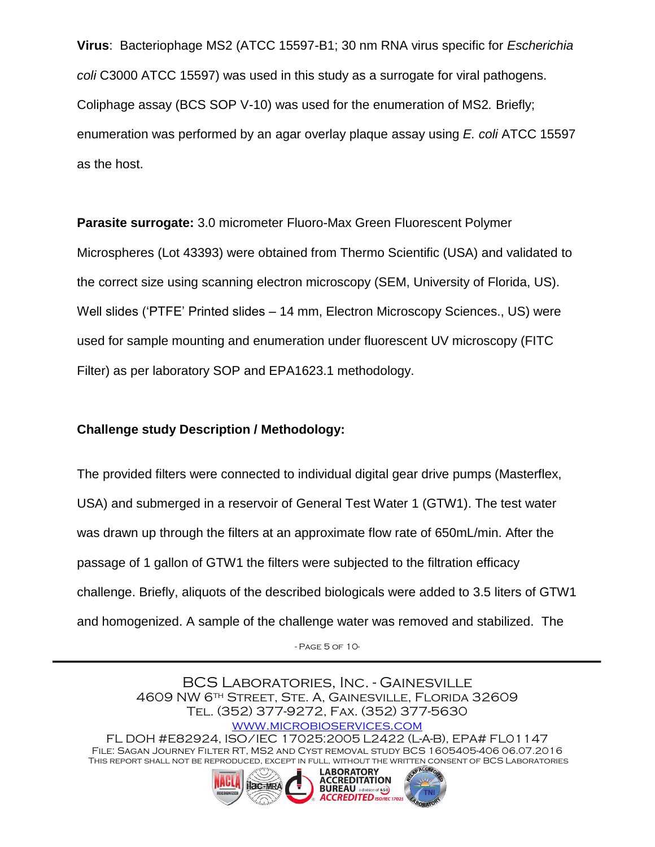**Virus**: Bacteriophage MS2 (ATCC 15597-B1; 30 nm RNA virus specific for *Escherichia coli* C3000 ATCC 15597) was used in this study as a surrogate for viral pathogens. Coliphage assay (BCS SOP V-10) was used for the enumeration of MS2*.* Briefly; enumeration was performed by an agar overlay plaque assay using *E. coli* ATCC 15597 as the host.

**Parasite surrogate:** 3.0 micrometer Fluoro-Max Green Fluorescent Polymer Microspheres (Lot 43393) were obtained from Thermo Scientific (USA) and validated to the correct size using scanning electron microscopy (SEM, University of Florida, US). Well slides ('PTFE' Printed slides – 14 mm, Electron Microscopy Sciences., US) were used for sample mounting and enumeration under fluorescent UV microscopy (FITC Filter) as per laboratory SOP and EPA1623.1 methodology.

#### **Challenge study Description / Methodology:**

The provided filters were connected to individual digital gear drive pumps (Masterflex, USA) and submerged in a reservoir of General Test Water 1 (GTW1). The test water was drawn up through the filters at an approximate flow rate of 650mL/min. After the passage of 1 gallon of GTW1 the filters were subjected to the filtration efficacy challenge. Briefly, aliquots of the described biologicals were added to 3.5 liters of GTW1 and homogenized. A sample of the challenge water was removed and stabilized. The

- Page 5 of 10-

BCS Laboratories, Inc. - Gainesville 4609 NW 6th Street, Ste. A, Gainesville, Florida 32609 Tel. (352) 377-9272, Fax. (352) 377-5630 [www.microbioservices.com](http://www.microbioservices.com/) FL DOH #E82924, ISO/IEC 17025:2005 L2422 (L-A-B), EPA# FL01147 File: Sagan Journey Filter RT, MS2 and Cyst removal study BCS 1605405-406 06.07.2016 This report shall not be reproduced, except in full, without the written consent of BCS Laboratories **LABORATORY** 

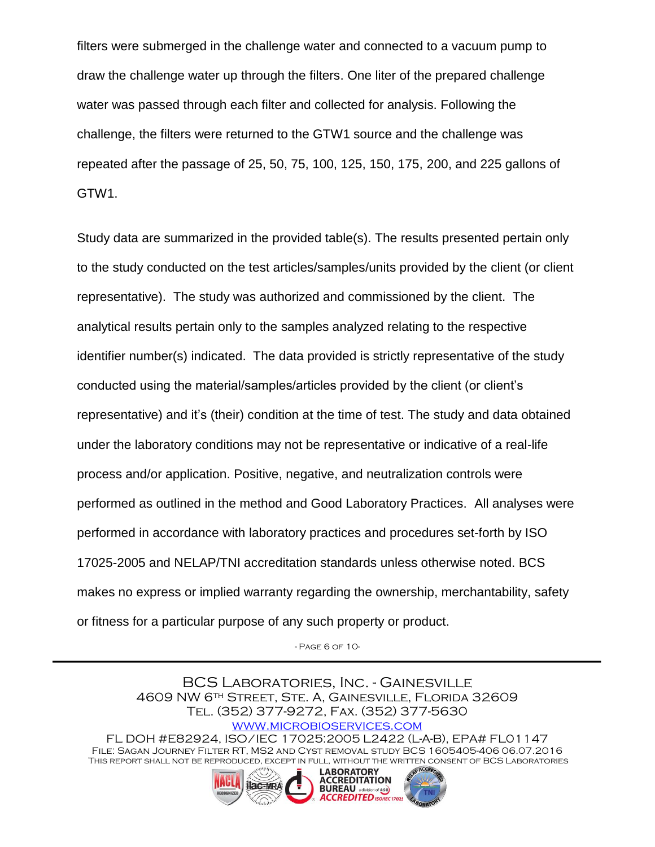filters were submerged in the challenge water and connected to a vacuum pump to draw the challenge water up through the filters. One liter of the prepared challenge water was passed through each filter and collected for analysis. Following the challenge, the filters were returned to the GTW1 source and the challenge was repeated after the passage of 25, 50, 75, 100, 125, 150, 175, 200, and 225 gallons of GTW1.

Study data are summarized in the provided table(s). The results presented pertain only to the study conducted on the test articles/samples/units provided by the client (or client representative). The study was authorized and commissioned by the client. The analytical results pertain only to the samples analyzed relating to the respective identifier number(s) indicated. The data provided is strictly representative of the study conducted using the material/samples/articles provided by the client (or client's representative) and it's (their) condition at the time of test. The study and data obtained under the laboratory conditions may not be representative or indicative of a real-life process and/or application. Positive, negative, and neutralization controls were performed as outlined in the method and Good Laboratory Practices. All analyses were performed in accordance with laboratory practices and procedures set-forth by ISO 17025-2005 and NELAP/TNI accreditation standards unless otherwise noted. BCS makes no express or implied warranty regarding the ownership, merchantability, safety or fitness for a particular purpose of any such property or product.

- Page 6 of 10-

BCS Laboratories, Inc. - Gainesville 4609 NW 6th Street, Ste. A, Gainesville, Florida 32609 Tel. (352) 377-9272, Fax. (352) 377-5630 [www.microbioservices.com](http://www.microbioservices.com/) FL DOH #E82924, ISO/IEC 17025:2005 L2422 (L-A-B), EPA# FL01147 File: Sagan Journey Filter RT, MS2 and Cyst removal study BCS 1605405-406 06.07.2016 This report shall not be reproduced, except in full, without the written consent of BCS Laboratories **LABORATORY** 

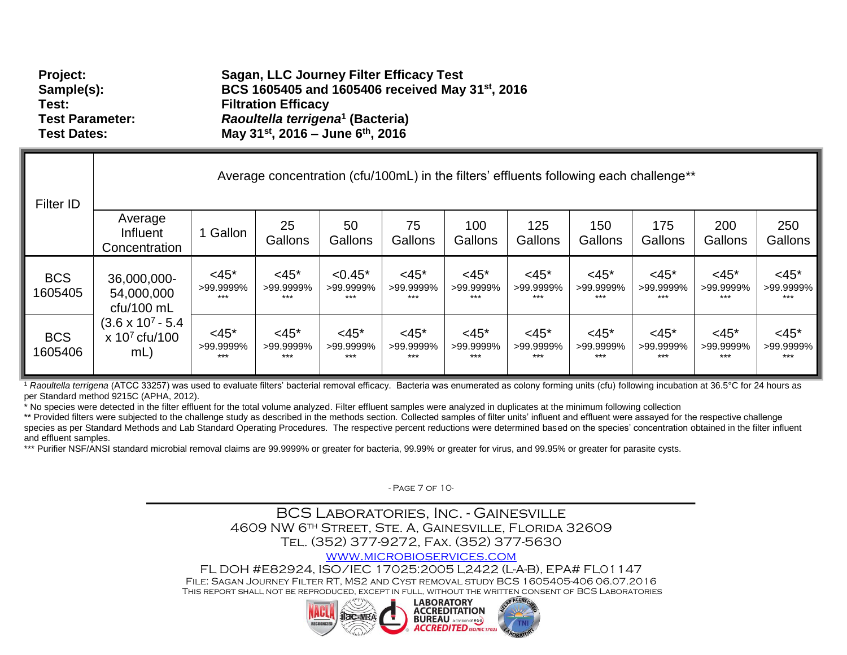| Project:               | Sagan, LLC Journey Filter Efficacy Test                      |
|------------------------|--------------------------------------------------------------|
| Sample(s):             | BCS 1605405 and 1605406 received May 31 <sup>st</sup> , 2016 |
| Test:                  | <b>Filtration Efficacy</b>                                   |
| <b>Test Parameter:</b> | Raoultella terrigena <sup>1</sup> (Bacteria)                 |
| <b>Test Dates:</b>     | May $31^{st}$ , 2016 – June 6 <sup>th</sup> , 2016           |

| <b>Filter ID</b>      | Average concentration (cfu/100mL) in the filters' effluents following each challenge**            |                                  |                               |                                 |                                  |                               |                                  |                                  |                               |                                  |                                  |
|-----------------------|---------------------------------------------------------------------------------------------------|----------------------------------|-------------------------------|---------------------------------|----------------------------------|-------------------------------|----------------------------------|----------------------------------|-------------------------------|----------------------------------|----------------------------------|
|                       | Average<br>Influent<br>Concentration                                                              | Gallon                           | 25<br>Gallons                 | 50<br>Gallons                   | 75<br>Gallons                    | 100<br>Gallons                | 125<br>Gallons                   | 150<br>Gallons                   | 175<br>Gallons                | 200<br>Gallons                   | 250<br>Gallons                   |
| <b>BCS</b><br>1605405 | 36,000,000-<br>54,000,000<br>$ctu/100$ mL<br>$(3.6 \times 10^7 - 5.4)$<br>$x 10^7$ cfu/100<br>mL) | $<$ 45*<br>>99.9999%<br>$***$    | $<$ 45*<br>>99.9999%<br>***   | $< 0.45*$<br>>99.9999%<br>$***$ | $<$ 45 $*$<br>>99.9999%<br>$***$ | $<$ 45*<br>>99.9999%<br>$***$ | $<$ 45 $*$<br>>99.9999%<br>$***$ | $< 45*$<br>>99.9999%<br>$***$    | $< 45*$<br>>99.9999%<br>$***$ | $<$ 45 $*$<br>>99.9999%<br>$***$ | $<$ 45 $*$<br>>99.9999%<br>$***$ |
| <b>BCS</b><br>1605406 |                                                                                                   | $<$ 45 $*$<br>>99.9999%<br>$***$ | $<$ 45*<br>>99.9999%<br>$***$ | $<$ 45*<br>>99.9999%<br>***     | $<$ 45 $*$<br>>99.9999%<br>$***$ | $<$ 45*<br>>99.9999%<br>$***$ | $<$ 45*<br>>99.9999%<br>$***$    | $<$ 45 $*$<br>>99.9999%<br>$***$ | $<$ 45*<br>>99.9999%<br>$***$ | $<$ 45 $*$<br>>99.9999%<br>$***$ | $<$ 45 $*$<br>>99.9999%<br>$***$ |

<sup>1</sup> Raoultella terrigena (ATCC 33257) was used to evaluate filters' bacterial removal efficacy. Bacteria was enumerated as colony forming units (cfu) following incubation at 36.5°C for 24 hours as per Standard method 9215C (APHA, 2012).

\* No species were detected in the filter effluent for the total volume analyzed. Filter effluent samples were analyzed in duplicates at the minimum following collection

\*\* Provided filters were subjected to the challenge study as described in the methods section. Collected samples of filter units' influent and effluent were assayed for the respective challenge species as per Standard Methods and Lab Standard Operating Procedures. The respective percent reductions were determined based on the species' concentration obtained in the filter influent and effluent samples.

\*\*\* Purifier NSF/ANSI standard microbial removal claims are 99.9999% or greater for bacteria, 99.99% or greater for virus, and 99.95% or greater for parasite cysts.

- Page 7 of 10-

### BCS Laboratories, Inc. - Gainesville 4609 NW 6th Street, Ste. A, Gainesville, Florida 32609 Tel. (352) 377-9272, Fax. (352) 377-5630

#### [www.microbioservices.com](http://www.microbioservices.com/)

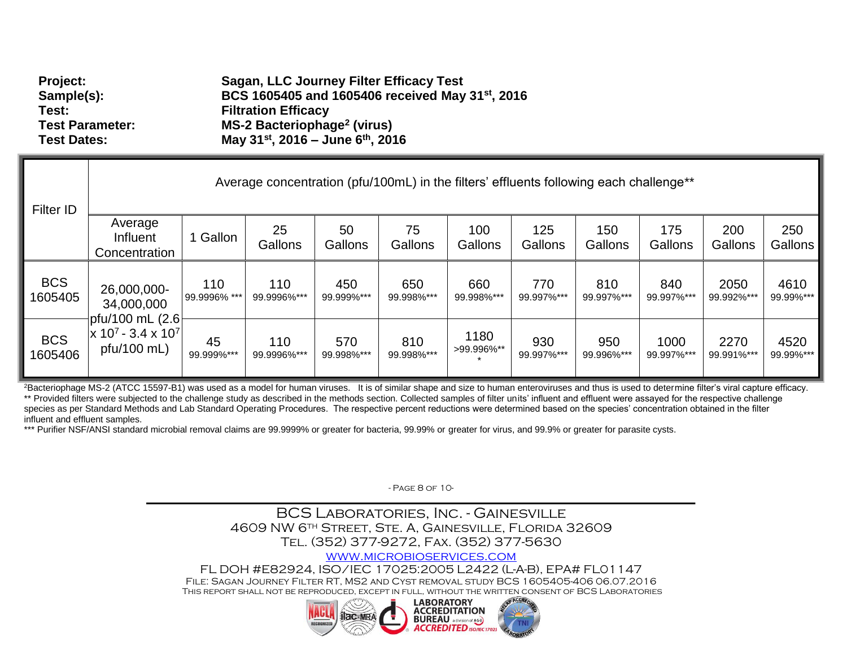| <b>Filter ID</b>      |                                                         |                     | Average concentration (pfu/100mL) in the filters' effluents following each challenge** |                   |                   |                    |                   |                   |                    |                    |                   |
|-----------------------|---------------------------------------------------------|---------------------|----------------------------------------------------------------------------------------|-------------------|-------------------|--------------------|-------------------|-------------------|--------------------|--------------------|-------------------|
|                       | Average<br>Influent<br>Concentration                    | Gallon              | 25<br>Gallons                                                                          | 50<br>Gallons     | 75<br>Gallons     | 100<br>Gallons     | 125<br>Gallons    | 150<br>Gallons    | 175<br>Gallons     | 200<br>Gallons     | 250<br>Gallons    |
| <b>BCS</b><br>1605405 | 26,000,000-<br>34,000,000                               | 110<br>99.9996% *** | 110<br>99.9996%***                                                                     | 450<br>99.999%*** | 650<br>99.998%*** | 660<br>99.998%***  | 770<br>99.997%*** | 810<br>99.997%*** | 840<br>99.997%***  | 2050<br>99.992%*** | 4610<br>99.99%*** |
| <b>BCS</b><br>1605406 | pfu/100 mL (2.6<br>$x 10^7 - 3.4 x 10^7$<br>pfu/100 mL) | 45<br>99.999%***    | 110<br>99.9996%***                                                                     | 570<br>99.998%*** | 810<br>99.998%*** | 1180<br>>99.996%** | 930<br>99.997%*** | 950<br>99.996%*** | 1000<br>99.997%*** | 2270<br>99.991%*** | 4520<br>99.99%*** |

<sup>2</sup>Bacteriophage MS-2 (ATCC 15597-B1) was used as a model for human viruses. It is of similar shape and size to human enteroviruses and thus is used to determine filter's viral capture efficacy. \*\* Provided filters were subjected to the challenge study as described in the methods section. Collected samples of filter units' influent and effluent were assayed for the respective challenge species as per Standard Methods and Lab Standard Operating Procedures. The respective percent reductions were determined based on the species' concentration obtained in the filter influent and effluent samples.

\*\*\* Purifier NSF/ANSI standard microbial removal claims are 99.9999% or greater for bacteria, 99.99% or greater for virus, and 99.9% or greater for parasite cysts.

- Page 8 of 10-

## BCS Laboratories, Inc. - Gainesville 4609 NW 6th Street, Ste. A, Gainesville, Florida 32609 Tel. (352) 377-9272, Fax. (352) 377-5630

#### [www.microbioservices.com](http://www.microbioservices.com/)

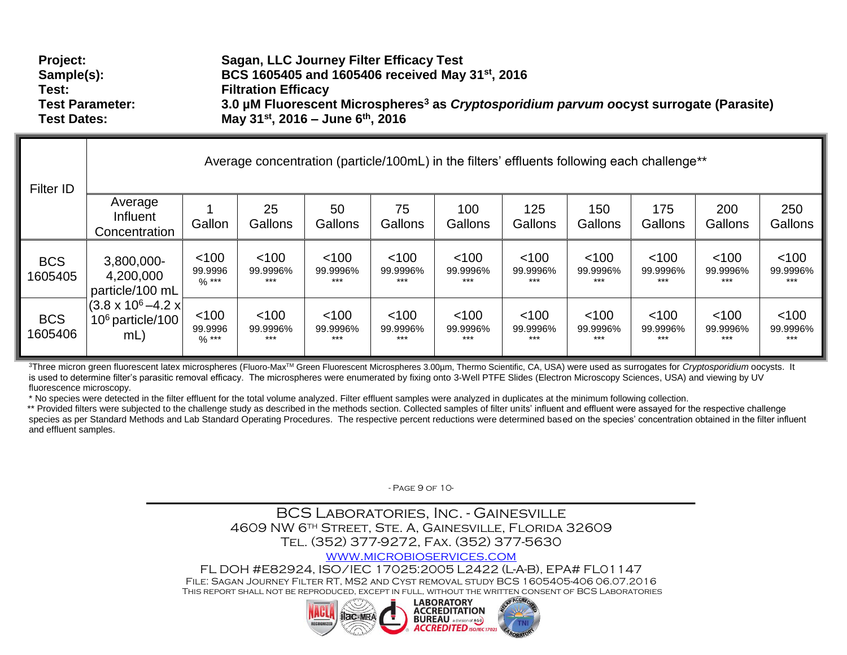| <b>Project:</b>        | Sagan, LLC Journey Filter Efficacy Test                                                                    |
|------------------------|------------------------------------------------------------------------------------------------------------|
| Sample(s):             | BCS 1605405 and 1605406 received May 31 <sup>st</sup> , 2016                                               |
| Test:                  | <b>Filtration Efficacy</b>                                                                                 |
| <b>Test Parameter:</b> | 3.0 µM Fluorescent Microspheres <sup>3</sup> as <i>Cryptosporidium parvum o</i> ocyst surrogate (Parasite) |
| <b>Test Dates:</b>     | May 31 <sup>st</sup> , 2016 – June 6 <sup>th</sup> , 2016                                                  |

| Filter ID             | Average concentration (particle/100mL) in the filters' effluents following each challenge** |                                       |                            |                          |                            |                          |                              |                              |                            |                            |                            |
|-----------------------|---------------------------------------------------------------------------------------------|---------------------------------------|----------------------------|--------------------------|----------------------------|--------------------------|------------------------------|------------------------------|----------------------------|----------------------------|----------------------------|
|                       | Average<br>Influent<br>Concentration                                                        | Gallon                                | 25<br>Gallons              | 50<br>Gallons            | 75<br>Gallons              | 100<br>Gallons           | 125<br>Gallons               | 150<br>Gallons               | 175<br>Gallons             | 200<br>Gallons             | 250<br>Gallons             |
| <b>BCS</b><br>1605405 | 3,800,000-<br>4,200,000<br>particle/100 mL                                                  | < 100<br>99.9996<br>$\frac{9}{6}$ *** | < 100<br>99.9996%<br>$***$ | < 100<br>99.9996%<br>*** | $<$ 100<br>99.9996%<br>*** | < 100<br>99.9996%<br>*** | < 100<br>99.9996%<br>$***$   | < 100<br>99.9996%<br>***     | < 100<br>99.9996%<br>$***$ | < 100<br>99.9996%<br>$***$ | < 100<br>99.9996%<br>***   |
| <b>BCS</b><br>1605406 | $(3.8 \times 10^6 - 4.2 \times$<br>$106$ particle/100<br>$mL$ )                             | < 100<br>99.9996<br>$%$ ***           | < 100<br>99.9996%<br>$***$ | < 100<br>99.9996%<br>*** | < 100<br>99.9996%<br>***   | < 100<br>99.9996%<br>*** | $<$ 100<br>99.9996%<br>$***$ | $<$ 100<br>99.9996%<br>$***$ | < 100<br>99.9996%<br>$***$ | < 100<br>99.9996%<br>$***$ | < 100<br>99.9996%<br>$***$ |

<sup>3</sup>Three micron green fluorescent latex microspheres (Fluoro-Max™ Green Fluorescent Microspheres 3.00µm, Thermo Scientific, CA, USA) were used as surrogates for *Cryptosporidium* oocysts. It is used to determine filter's parasitic removal efficacy. The microspheres were enumerated by fixing onto 3-Well PTFE Slides (Electron Microscopy Sciences, USA) and viewing by UV fluorescence microscopy.

\* No species were detected in the filter effluent for the total volume analyzed. Filter effluent samples were analyzed in duplicates at the minimum following collection.

\*\* Provided filters were subjected to the challenge study as described in the methods section. Collected samples of filter units' influent and effluent were assayed for the respective challenge species as per Standard Methods and Lab Standard Operating Procedures. The respective percent reductions were determined based on the species' concentration obtained in the filter influent and effluent samples.

- Page 9 of 10-

## BCS Laboratories, Inc. - Gainesville 4609 NW 6th Street, Ste. A, Gainesville, Florida 32609 Tel. (352) 377-9272, Fax. (352) 377-5630

#### [www.microbioservices.com](http://www.microbioservices.com/)